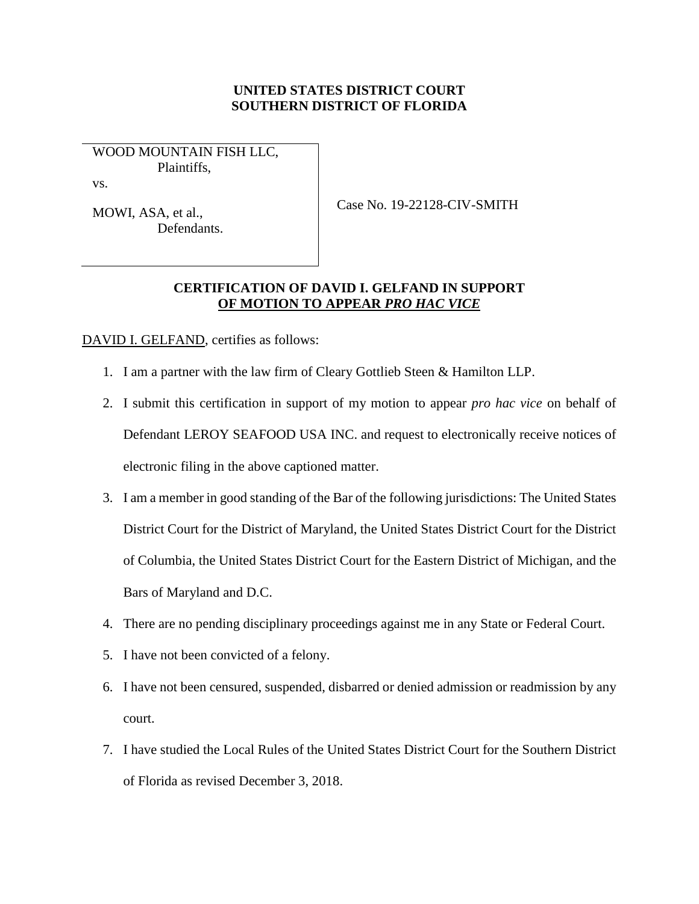## **UNITED STATES DISTRICT COURT SOUTHERN DISTRICT OF FLORIDA**

WOOD MOUNTAIN FISH LLC, Plaintiffs,

vs.

MOWI, ASA, et al., Defendants. Case No. 19-22128-CIV-SMITH

## **CERTIFICATION OF DAVID I. GELFAND IN SUPPORT OF MOTION TO APPEAR** *PRO HAC VICE*

DAVID I. GELFAND, certifies as follows:

- 1. I am a partner with the law firm of Cleary Gottlieb Steen & Hamilton LLP.
- 2. I submit this certification in support of my motion to appear *pro hac vice* on behalf of Defendant LEROY SEAFOOD USA INC. and request to electronically receive notices of electronic filing in the above captioned matter.
- 3. I am a member in good standing of the Bar of the following jurisdictions: The United States District Court for the District of Maryland, the United States District Court for the District of Columbia, the United States District Court for the Eastern District of Michigan, and the Bars of Maryland and D.C.
- 4. There are no pending disciplinary proceedings against me in any State or Federal Court.
- 5. I have not been convicted of a felony.
- 6. I have not been censured, suspended, disbarred or denied admission or readmission by any court.
- 7. I have studied the Local Rules of the United States District Court for the Southern District of Florida as revised December 3, 2018.